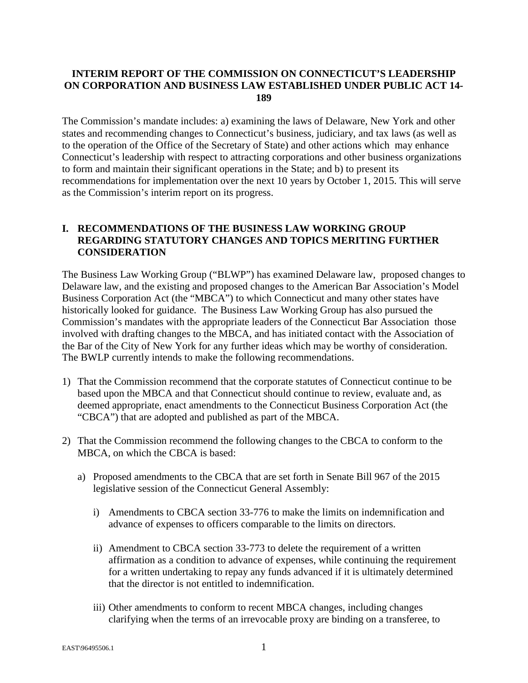#### **INTERIM REPORT OF THE COMMISSION ON CONNECTICUT'S LEADERSHIP ON CORPORATION AND BUSINESS LAW ESTABLISHED UNDER PUBLIC ACT 14- 189**

The Commission's mandate includes: a) examining the laws of Delaware, New York and other states and recommending changes to Connecticut's business, judiciary, and tax laws (as well as to the operation of the Office of the Secretary of State) and other actions which may enhance Connecticut's leadership with respect to attracting corporations and other business organizations to form and maintain their significant operations in the State; and b) to present its recommendations for implementation over the next 10 years by October 1, 2015. This will serve as the Commission's interim report on its progress.

#### **I. RECOMMENDATIONS OF THE BUSINESS LAW WORKING GROUP REGARDING STATUTORY CHANGES AND TOPICS MERITING FURTHER CONSIDERATION**

The Business Law Working Group ("BLWP") has examined Delaware law, proposed changes to Delaware law, and the existing and proposed changes to the American Bar Association's Model Business Corporation Act (the "MBCA") to which Connecticut and many other states have historically looked for guidance. The Business Law Working Group has also pursued the Commission's mandates with the appropriate leaders of the Connecticut Bar Association those involved with drafting changes to the MBCA, and has initiated contact with the Association of the Bar of the City of New York for any further ideas which may be worthy of consideration. The BWLP currently intends to make the following recommendations.

- 1) That the Commission recommend that the corporate statutes of Connecticut continue to be based upon the MBCA and that Connecticut should continue to review, evaluate and, as deemed appropriate, enact amendments to the Connecticut Business Corporation Act (the "CBCA") that are adopted and published as part of the MBCA.
- 2) That the Commission recommend the following changes to the CBCA to conform to the MBCA, on which the CBCA is based:
	- a) Proposed amendments to the CBCA that are set forth in Senate Bill 967 of the 2015 legislative session of the Connecticut General Assembly:
		- i) Amendments to CBCA section 33-776 to make the limits on indemnification and advance of expenses to officers comparable to the limits on directors.
		- ii) Amendment to CBCA section 33-773 to delete the requirement of a written affirmation as a condition to advance of expenses, while continuing the requirement for a written undertaking to repay any funds advanced if it is ultimately determined that the director is not entitled to indemnification.
		- iii) Other amendments to conform to recent MBCA changes, including changes clarifying when the terms of an irrevocable proxy are binding on a transferee, to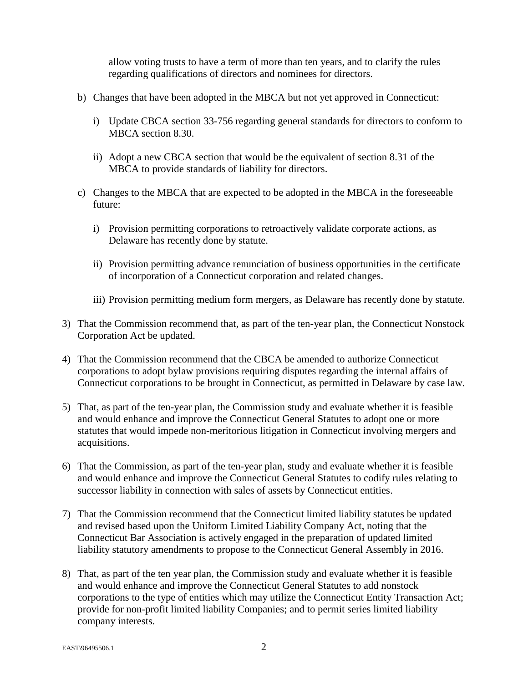allow voting trusts to have a term of more than ten years, and to clarify the rules regarding qualifications of directors and nominees for directors.

- b) Changes that have been adopted in the MBCA but not yet approved in Connecticut:
	- i) Update CBCA section 33-756 regarding general standards for directors to conform to MBCA section 8.30.
	- ii) Adopt a new CBCA section that would be the equivalent of section 8.31 of the MBCA to provide standards of liability for directors.
- c) Changes to the MBCA that are expected to be adopted in the MBCA in the foreseeable future:
	- i) Provision permitting corporations to retroactively validate corporate actions, as Delaware has recently done by statute.
	- ii) Provision permitting advance renunciation of business opportunities in the certificate of incorporation of a Connecticut corporation and related changes.
	- iii) Provision permitting medium form mergers, as Delaware has recently done by statute.
- 3) That the Commission recommend that, as part of the ten-year plan, the Connecticut Nonstock Corporation Act be updated.
- 4) That the Commission recommend that the CBCA be amended to authorize Connecticut corporations to adopt bylaw provisions requiring disputes regarding the internal affairs of Connecticut corporations to be brought in Connecticut, as permitted in Delaware by case law.
- 5) That, as part of the ten-year plan, the Commission study and evaluate whether it is feasible and would enhance and improve the Connecticut General Statutes to adopt one or more statutes that would impede non-meritorious litigation in Connecticut involving mergers and acquisitions.
- 6) That the Commission, as part of the ten-year plan, study and evaluate whether it is feasible and would enhance and improve the Connecticut General Statutes to codify rules relating to successor liability in connection with sales of assets by Connecticut entities.
- 7) That the Commission recommend that the Connecticut limited liability statutes be updated and revised based upon the Uniform Limited Liability Company Act, noting that the Connecticut Bar Association is actively engaged in the preparation of updated limited liability statutory amendments to propose to the Connecticut General Assembly in 2016.
- 8) That, as part of the ten year plan, the Commission study and evaluate whether it is feasible and would enhance and improve the Connecticut General Statutes to add nonstock corporations to the type of entities which may utilize the Connecticut Entity Transaction Act; provide for non-profit limited liability Companies; and to permit series limited liability company interests.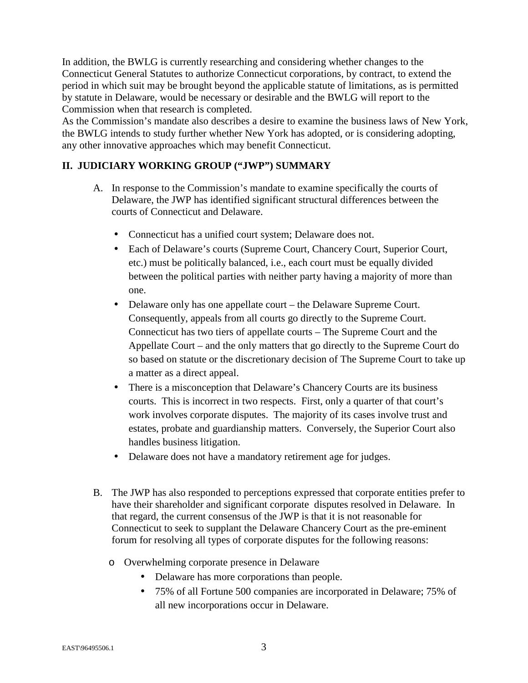In addition, the BWLG is currently researching and considering whether changes to the Connecticut General Statutes to authorize Connecticut corporations, by contract, to extend the period in which suit may be brought beyond the applicable statute of limitations, as is permitted by statute in Delaware, would be necessary or desirable and the BWLG will report to the Commission when that research is completed.

As the Commission's mandate also describes a desire to examine the business laws of New York, the BWLG intends to study further whether New York has adopted, or is considering adopting, any other innovative approaches which may benefit Connecticut.

# **II. JUDICIARY WORKING GROUP ("JWP") SUMMARY**

- A. In response to the Commission's mandate to examine specifically the courts of Delaware, the JWP has identified significant structural differences between the courts of Connecticut and Delaware.
	- Connecticut has a unified court system; Delaware does not.
	- Each of Delaware's courts (Supreme Court, Chancery Court, Superior Court, etc.) must be politically balanced, i.e., each court must be equally divided between the political parties with neither party having a majority of more than one.
	- Delaware only has one appellate court the Delaware Supreme Court. Consequently, appeals from all courts go directly to the Supreme Court. Connecticut has two tiers of appellate courts – The Supreme Court and the Appellate Court – and the only matters that go directly to the Supreme Court do so based on statute or the discretionary decision of The Supreme Court to take up a matter as a direct appeal.
	- There is a misconception that Delaware's Chancery Courts are its business courts. This is incorrect in two respects. First, only a quarter of that court's work involves corporate disputes. The majority of its cases involve trust and estates, probate and guardianship matters. Conversely, the Superior Court also handles business litigation.
	- Delaware does not have a mandatory retirement age for judges.
- B. The JWP has also responded to perceptions expressed that corporate entities prefer to have their shareholder and significant corporate disputes resolved in Delaware. In that regard, the current consensus of the JWP is that it is not reasonable for Connecticut to seek to supplant the Delaware Chancery Court as the pre-eminent forum for resolving all types of corporate disputes for the following reasons:
	- o Overwhelming corporate presence in Delaware
		- Delaware has more corporations than people.
		- 75% of all Fortune 500 companies are incorporated in Delaware; 75% of all new incorporations occur in Delaware.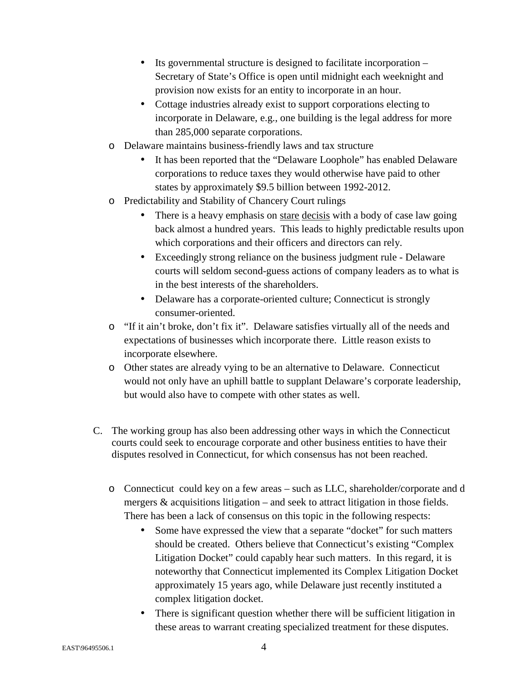- Its governmental structure is designed to facilitate incorporation Secretary of State's Office is open until midnight each weeknight and provision now exists for an entity to incorporate in an hour.
- Cottage industries already exist to support corporations electing to incorporate in Delaware, e.g., one building is the legal address for more than 285,000 separate corporations.
- o Delaware maintains business-friendly laws and tax structure
	- It has been reported that the "Delaware Loophole" has enabled Delaware corporations to reduce taxes they would otherwise have paid to other states by approximately \$9.5 billion between 1992-2012.
- o Predictability and Stability of Chancery Court rulings
	- There is a heavy emphasis on stare decisis with a body of case law going back almost a hundred years. This leads to highly predictable results upon which corporations and their officers and directors can rely.
	- Exceedingly strong reliance on the business judgment rule Delaware courts will seldom second-guess actions of company leaders as to what is in the best interests of the shareholders.
	- Delaware has a corporate-oriented culture; Connecticut is strongly consumer-oriented.
- o "If it ain't broke, don't fix it". Delaware satisfies virtually all of the needs and expectations of businesses which incorporate there. Little reason exists to incorporate elsewhere.
- o Other states are already vying to be an alternative to Delaware. Connecticut would not only have an uphill battle to supplant Delaware's corporate leadership, but would also have to compete with other states as well.
- C. The working group has also been addressing other ways in which the Connecticut courts could seek to encourage corporate and other business entities to have their disputes resolved in Connecticut, for which consensus has not been reached.
	- o Connecticut could key on a few areas such as LLC, shareholder/corporate and d mergers & acquisitions litigation – and seek to attract litigation in those fields. There has been a lack of consensus on this topic in the following respects:
		- Some have expressed the view that a separate "docket" for such matters should be created. Others believe that Connecticut's existing "Complex Litigation Docket" could capably hear such matters. In this regard, it is noteworthy that Connecticut implemented its Complex Litigation Docket approximately 15 years ago, while Delaware just recently instituted a complex litigation docket.
		- There is significant question whether there will be sufficient litigation in these areas to warrant creating specialized treatment for these disputes.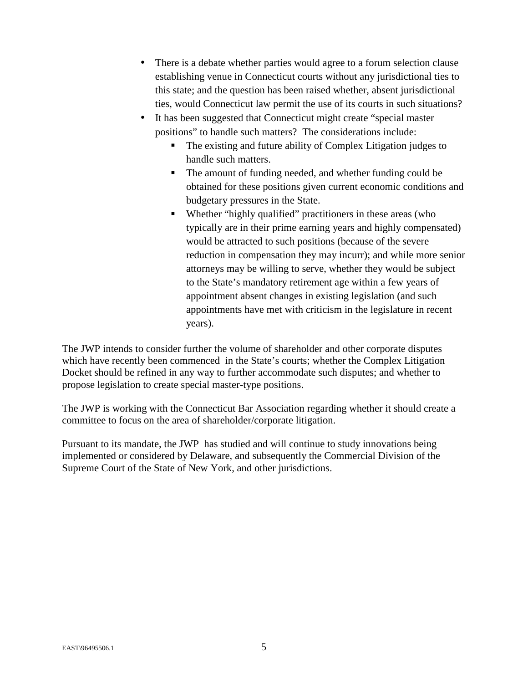- There is a debate whether parties would agree to a forum selection clause establishing venue in Connecticut courts without any jurisdictional ties to this state; and the question has been raised whether, absent jurisdictional ties, would Connecticut law permit the use of its courts in such situations?
- It has been suggested that Connecticut might create "special master positions" to handle such matters? The considerations include:
	- The existing and future ability of Complex Litigation judges to handle such matters.
	- The amount of funding needed, and whether funding could be obtained for these positions given current economic conditions and budgetary pressures in the State.
	- Whether "highly qualified" practitioners in these areas (who typically are in their prime earning years and highly compensated) would be attracted to such positions (because of the severe reduction in compensation they may incurr); and while more senior attorneys may be willing to serve, whether they would be subject to the State's mandatory retirement age within a few years of appointment absent changes in existing legislation (and such appointments have met with criticism in the legislature in recent years).

The JWP intends to consider further the volume of shareholder and other corporate disputes which have recently been commenced in the State's courts; whether the Complex Litigation Docket should be refined in any way to further accommodate such disputes; and whether to propose legislation to create special master-type positions.

The JWP is working with the Connecticut Bar Association regarding whether it should create a committee to focus on the area of shareholder/corporate litigation.

Pursuant to its mandate, the JWP has studied and will continue to study innovations being implemented or considered by Delaware, and subsequently the Commercial Division of the Supreme Court of the State of New York, and other jurisdictions.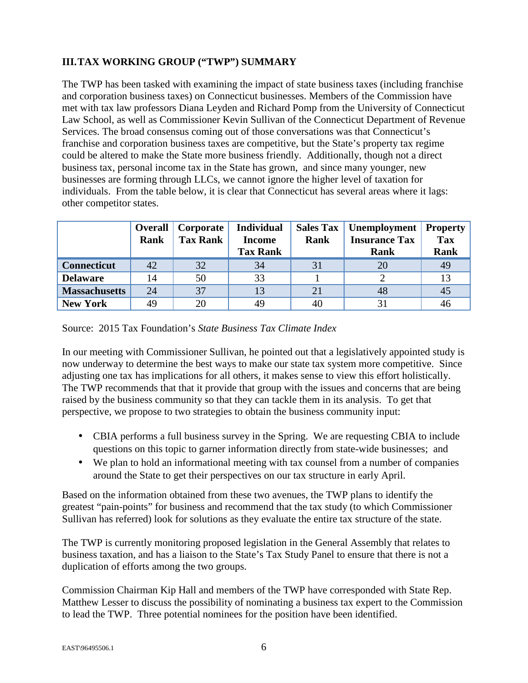# **III.TAX WORKING GROUP ("TWP") SUMMARY**

The TWP has been tasked with examining the impact of state business taxes (including franchise and corporation business taxes) on Connecticut businesses. Members of the Commission have met with tax law professors Diana Leyden and Richard Pomp from the University of Connecticut Law School, as well as Commissioner Kevin Sullivan of the Connecticut Department of Revenue Services. The broad consensus coming out of those conversations was that Connecticut's franchise and corporation business taxes are competitive, but the State's property tax regime could be altered to make the State more business friendly. Additionally, though not a direct business tax, personal income tax in the State has grown, and since many younger, new businesses are forming through LLCs, we cannot ignore the higher level of taxation for individuals. From the table below, it is clear that Connecticut has several areas where it lags: other competitor states.

|                      | <b>Overall</b> | Corporate       | <b>Individual</b> | <b>Sales Tax</b> | Unemployment         | <b>Property</b> |
|----------------------|----------------|-----------------|-------------------|------------------|----------------------|-----------------|
|                      | Rank           | <b>Tax Rank</b> | <b>Income</b>     | Rank             | <b>Insurance Tax</b> | <b>Tax</b>      |
|                      |                |                 | <b>Tax Rank</b>   |                  | Rank                 | <b>Rank</b>     |
| <b>Connecticut</b>   | 42             | 32              | 34                | 31               | 20                   | 49              |
| <b>Delaware</b>      | 14             | 50              | 33                |                  |                      | 13              |
| <b>Massachusetts</b> | 24             | 37              | 13                | 21               | 48                   | 45              |
| <b>New York</b>      | 49             | 20              | 49                | 40               | 31                   | 46              |

Source: 2015 Tax Foundation's *State Business Tax Climate Index*

In our meeting with Commissioner Sullivan, he pointed out that a legislatively appointed study is now underway to determine the best ways to make our state tax system more competitive. Since adjusting one tax has implications for all others, it makes sense to view this effort holistically. The TWP recommends that that it provide that group with the issues and concerns that are being raised by the business community so that they can tackle them in its analysis. To get that perspective, we propose to two strategies to obtain the business community input:

- CBIA performs a full business survey in the Spring. We are requesting CBIA to include questions on this topic to garner information directly from state-wide businesses; and
- We plan to hold an informational meeting with tax counsel from a number of companies around the State to get their perspectives on our tax structure in early April.

Based on the information obtained from these two avenues, the TWP plans to identify the greatest "pain-points" for business and recommend that the tax study (to which Commissioner Sullivan has referred) look for solutions as they evaluate the entire tax structure of the state.

The TWP is currently monitoring proposed legislation in the General Assembly that relates to business taxation, and has a liaison to the State's Tax Study Panel to ensure that there is not a duplication of efforts among the two groups.

Commission Chairman Kip Hall and members of the TWP have corresponded with State Rep. Matthew Lesser to discuss the possibility of nominating a business tax expert to the Commission to lead the TWP. Three potential nominees for the position have been identified.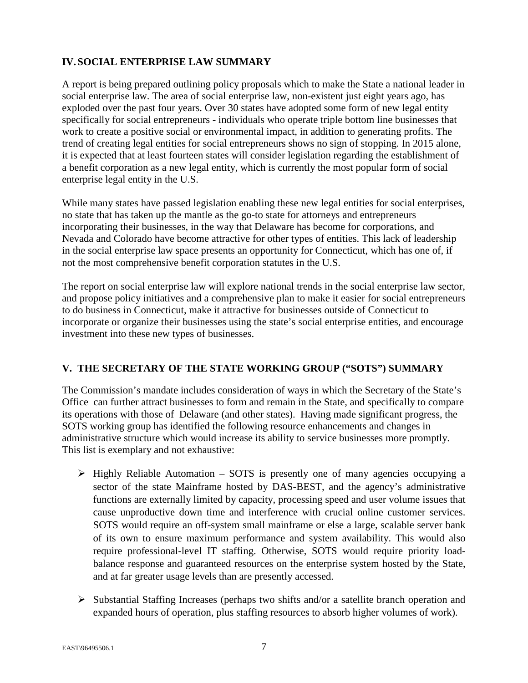### **IV. SOCIAL ENTERPRISE LAW SUMMARY**

A report is being prepared outlining policy proposals which to make the State a national leader in social enterprise law. The area of social enterprise law, non-existent just eight years ago, has exploded over the past four years. Over 30 states have adopted some form of new legal entity specifically for social entrepreneurs - individuals who operate triple bottom line businesses that work to create a positive social or environmental impact, in addition to generating profits. The trend of creating legal entities for social entrepreneurs shows no sign of stopping. In 2015 alone, it is expected that at least fourteen states will consider legislation regarding the establishment of a benefit corporation as a new legal entity, which is currently the most popular form of social enterprise legal entity in the U.S.

While many states have passed legislation enabling these new legal entities for social enterprises, no state that has taken up the mantle as the go-to state for attorneys and entrepreneurs incorporating their businesses, in the way that Delaware has become for corporations, and Nevada and Colorado have become attractive for other types of entities. This lack of leadership in the social enterprise law space presents an opportunity for Connecticut, which has one of, if not the most comprehensive benefit corporation statutes in the U.S.

The report on social enterprise law will explore national trends in the social enterprise law sector, and propose policy initiatives and a comprehensive plan to make it easier for social entrepreneurs to do business in Connecticut, make it attractive for businesses outside of Connecticut to incorporate or organize their businesses using the state's social enterprise entities, and encourage investment into these new types of businesses.

#### **V. THE SECRETARY OF THE STATE WORKING GROUP ("SOTS") SUMMARY**

The Commission's mandate includes consideration of ways in which the Secretary of the State's Office can further attract businesses to form and remain in the State, and specifically to compare its operations with those of Delaware (and other states). Having made significant progress, the SOTS working group has identified the following resource enhancements and changes in administrative structure which would increase its ability to service businesses more promptly. This list is exemplary and not exhaustive:

- > Highly Reliable Automation SOTS is presently one of many agencies occupying a sector of the state Mainframe hosted by DAS-BEST, and the agency's administrative functions are externally limited by capacity, processing speed and user volume issues that cause unproductive down time and interference with crucial online customer services. SOTS would require an off-system small mainframe or else a large, scalable server bank of its own to ensure maximum performance and system availability. This would also require professional-level IT staffing. Otherwise, SOTS would require priority loadbalance response and guaranteed resources on the enterprise system hosted by the State, and at far greater usage levels than are presently accessed.
- > Substantial Staffing Increases (perhaps two shifts and/or a satellite branch operation and expanded hours of operation, plus staffing resources to absorb higher volumes of work).